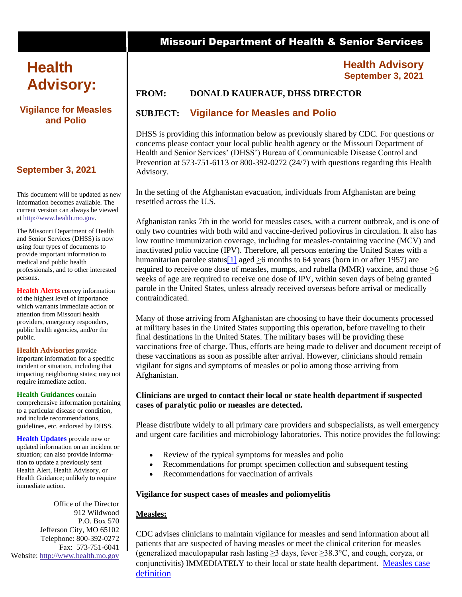# **Health Advisory:**

## **Vigilance for Measles and Polio**

# **September 3, 2021**

This document will be updated as new information becomes available. The current version can always be viewed at [http://www.health.mo.gov.](http://www.health.mo.gov/)

The Missouri Department of Health and Senior Services (DHSS) is now using four types of documents to provide important information to medical and public health professionals, and to other interested persons.

**Health Alerts** convey information of the highest level of importance which warrants immediate action or attention from Missouri health providers, emergency responders, public health agencies, and/or the public.

**Health Advisories** provide important information for a specific incident or situation, including that impacting neighboring states; may not require immediate action.

**Health Guidances** contain comprehensive information pertaining to a particular disease or condition, and include recommendations, guidelines, etc. endorsed by DHSS.

**Health Updates** provide new or updated information on an incident or situation; can also provide information to update a previously sent Health Alert, Health Advisory, or Health Guidance; unlikely to require immediate action.

Office of the Director 912 Wildwood P.O. Box 570 Jefferson City, MO 65102 Telephone: 800-392-0272 Fax: 573-751-6041 Website: [http://www.health.mo.gov](http://www.health.mo.gov/)

# Missouri Department of Health & Senior Services

## **Health Advisory September 3, 2021**

# **FROM: DONALD KAUERAUF, DHSS DIRECTOR**

# **SUBJECT: Vigilance for Measles and Polio**

DHSS is providing this information below as previously shared by CDC. For questions or concerns please contact your local public health agency or the Missouri Department of Health and Senior Services' (DHSS') Bureau of Communicable Disease Control and Prevention at 573-751-6113 or 800-392-0272 (24/7) with questions regarding this Health Advisory.

In the setting of the Afghanistan evacuation, individuals from Afghanistan are being resettled across the U.S.

Afghanistan ranks 7th in the world for measles cases, with a current outbreak, and is one of only two countries with both wild and vaccine-derived poliovirus in circulation. It also has low routine immunization coverage, including for measles-containing vaccine (MCV) and inactivated polio vaccine (IPV). Therefore, all persons entering the United States with a humanitarian parolee status<sup>[1]</sup> aged >6 months to 64 years (born in or after 1957) are required to receive one dose of measles, mumps, and rubella (MMR) vaccine, and those >6 weeks of age are required to receive one dose of IPV, within seven days of being granted parole in the United States, unless already received overseas before arrival or medically contraindicated.

Many of those arriving from Afghanistan are choosing to have their documents processed at military bases in the United States supporting this operation, before traveling to their final destinations in the United States. The military bases will be providing these vaccinations free of charge. Thus, efforts are being made to deliver and document receipt of these vaccinations as soon as possible after arrival. However, clinicians should remain vigilant for signs and symptoms of measles or polio among those arriving from Afghanistan.

## **Clinicians are urged to contact their local or state health department if suspected cases of paralytic polio or measles are detected.**

Please distribute widely to all primary care providers and subspecialists, as well emergency and urgent care facilities and microbiology laboratories. This notice provides the following:

- Review of the typical symptoms for measles and polio
- Recommendations for prompt specimen collection and subsequent testing
- Recommendations for vaccination of arrivals

## **Vigilance for suspect cases of measles and poliomyelitis**

## **Measles:**

CDC advises clinicians to maintain vigilance for measles and send information about all patients that are suspected of having measles or meet the clinical criterion for measles (generalized maculopapular rash lasting  $\geq$ 3 days, fever  $\geq$ 38.3°C, and cough, coryza, or conjunctivitis) IMMEDIATELY to their local or state health department. [Measles case](https://www.cdc.gov/vaccines/pubs/surv-manual/chpt07-measles.html)  [definition](https://www.cdc.gov/vaccines/pubs/surv-manual/chpt07-measles.html)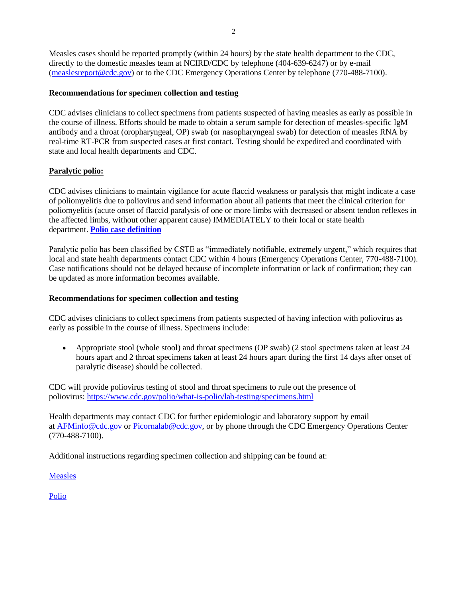Measles cases should be reported promptly (within 24 hours) by the state health department to the CDC, directly to the domestic measles team at NCIRD/CDC by telephone (404-639-6247) or by e-mail [\(measlesreport@cdc.gov\)](mailto:measlesreport@cdc.gov) or to the CDC Emergency Operations Center by telephone (770-488-7100).

### **Recommendations for specimen collection and testing**

CDC advises clinicians to collect specimens from patients suspected of having measles as early as possible in the course of illness. Efforts should be made to obtain a serum sample for detection of measles-specific IgM antibody and a throat (oropharyngeal, OP) swab (or nasopharyngeal swab) for detection of measles RNA by real-time RT-PCR from suspected cases at first contact. Testing should be expedited and coordinated with state and local health departments and CDC.

## **Paralytic polio:**

CDC advises clinicians to maintain vigilance for acute flaccid weakness or paralysis that might indicate a case of poliomyelitis due to poliovirus and send information about all patients that meet the clinical criterion for poliomyelitis (acute onset of flaccid paralysis of one or more limbs with decreased or absent tendon reflexes in the affected limbs, without other apparent cause) IMMEDIATELY to their local or state health department. **[Polio case definition](https://cdn.ymaws.com/www.cste.org/resource/resmgr/PS/09-ID-53.pdf)**

Paralytic polio has been classified by CSTE as "immediately notifiable, extremely urgent," which requires that local and state health departments contact CDC within 4 hours (Emergency Operations Center, 770-488-7100). Case notifications should not be delayed because of incomplete information or lack of confirmation; they can be updated as more information becomes available.

#### **Recommendations for specimen collection and testing**

CDC advises clinicians to collect specimens from patients suspected of having infection with poliovirus as early as possible in the course of illness. Specimens include:

 Appropriate stool (whole stool) and throat specimens (OP swab) (2 stool specimens taken at least 24 hours apart and 2 throat specimens taken at least 24 hours apart during the first 14 days after onset of paralytic disease) should be collected.

CDC will provide poliovirus testing of stool and throat specimens to rule out the presence of poliovirus: <https://www.cdc.gov/polio/what-is-polio/lab-testing/specimens.html>

Health departments may contact CDC for further epidemiologic and laboratory support by email at [AFMinfo@cdc.gov](mailto:AFMinfo@cdc.gov) or [Picornalab@cdc.gov,](mailto:Picornalab@cdc.gov) or by phone through the CDC Emergency Operations Center (770-488-7100).

Additional instructions regarding specimen collection and shipping can be found at:

[Measles](https://cdc-my.sharepoint.com/personal/kxg7_cdc_gov/Documents/:%20https:/www.cdc.gov/vaccines/pubs/surv-manual/chpt07-measles.html#f29)

[Polio](https://www.cdc.gov/vaccines/pubs/surv-manual/chpt12-polio.html)